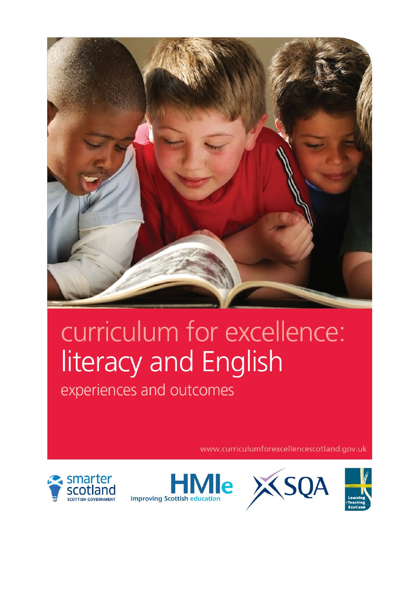

## curriculum for excellence: literacy and English

experiences and outcomes

www.curriculumforexcellencescotland.gov.uk







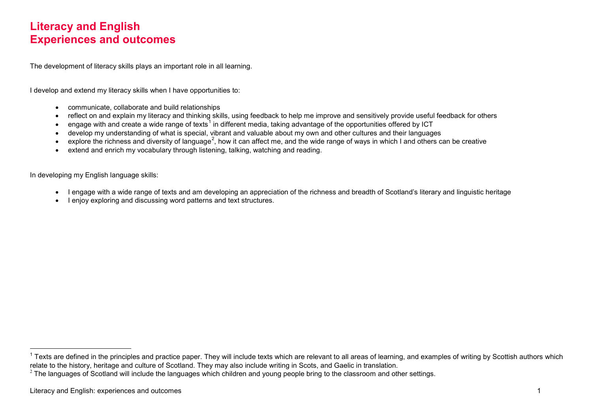## <span id="page-1-1"></span><span id="page-1-0"></span>**Literacy and English Experiences and outcomes**

The development of literacy skills plays an important role in all learning.

I develop and extend my literacy skills when I have opportunities to:

- communicate, collaborate and build relationships
- reflect on and explain my literacy and thinking skills, using feedback to help me improve and sensitively provide useful feedback for others
- engage with and create a wide range of texts<sup>[1](#page-1-0)</sup> in different media, taking advantage of the opportunities offered by ICT
- develop my understanding of what is special, vibrant and valuable about my own and other cultures and their languages
- explore the richness and diversity of language<sup>[2](#page-1-1)</sup>, how it can affect me, and the wide range of ways in which I and others can be creative
- extend and enrich my vocabulary through listening, talking, watching and reading.

In developing my English language skills:

- I engage with a wide range of texts and am developing an appreciation of the richness and breadth of Scotland's literary and linguistic heritage
- I enjoy exploring and discussing word patterns and text structures.

 $1$  Texts are defined in the principles and practice paper. They will include texts which are relevant to all areas of learning, and examples of writing by Scottish authors which relate to the history, heritage and cultur

 $2$  The languages of Scotland will include the languages which children and young people bring to the classroom and other settings.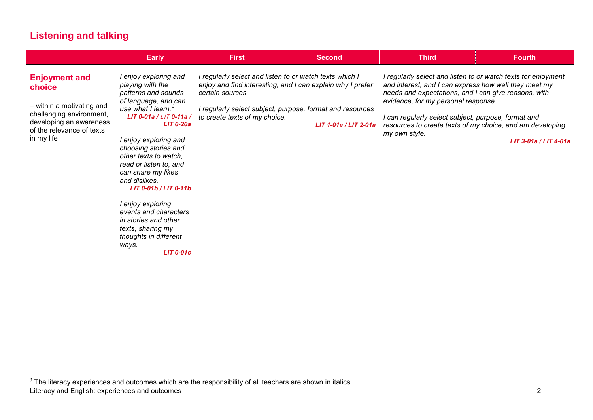<span id="page-2-0"></span>

| <b>Listening and talking</b>                                                                                                                                  | <b>Early</b>                                                                                                                                                                                                                                                                                                                                                                                                                                                                                    | <b>First</b>                                                                                                 | <b>Second</b>                                                                                                                                    | <b>Third</b>                                                                                                                                                                                                                 | <b>Fourth</b>                                                                                                                                       |
|---------------------------------------------------------------------------------------------------------------------------------------------------------------|-------------------------------------------------------------------------------------------------------------------------------------------------------------------------------------------------------------------------------------------------------------------------------------------------------------------------------------------------------------------------------------------------------------------------------------------------------------------------------------------------|--------------------------------------------------------------------------------------------------------------|--------------------------------------------------------------------------------------------------------------------------------------------------|------------------------------------------------------------------------------------------------------------------------------------------------------------------------------------------------------------------------------|-----------------------------------------------------------------------------------------------------------------------------------------------------|
| <b>Enjoyment and</b><br>choice<br>- within a motivating and<br>challenging environment,<br>developing an awareness<br>of the relevance of texts<br>in my life | I enjoy exploring and<br>playing with the<br>patterns and sounds<br>of language, and can<br>use what $l$ learn. <sup>3</sup><br>LIT 0-01a / $L/T$ 0-11a /<br>$LIT$ 0-20a<br>I enjoy exploring and<br>choosing stories and<br>other texts to watch.<br>read or listen to, and<br>can share my likes<br>and dislikes.<br>$LIT$ 0-01b / $LIT$ 0-11b<br>I enjoy exploring<br>events and characters<br>in stories and other<br>texts, sharing my<br>thoughts in different<br>ways.<br>$LIT$ 0-01 $c$ | I regularly select and listen to or watch texts which I<br>certain sources.<br>to create texts of my choice. | enjoy and find interesting, and I can explain why I prefer<br>I regularly select subject, purpose, format and resources<br>LIT 1-01a / LIT 2-01a | and interest, and I can express how well they meet my<br>needs and expectations, and I can give reasons, with<br>evidence, for my personal response.<br>I can regularly select subject, purpose, format and<br>my own style. | I regularly select and listen to or watch texts for enjoyment<br>resources to create texts of my choice, and am developing<br>LIT 3-01a / LIT 4-01a |

Literacy and English: experiences and outcomes 2  $\frac{3}{3}$  The literacy experiences and outcomes which are the responsibility of all teachers are shown in italics.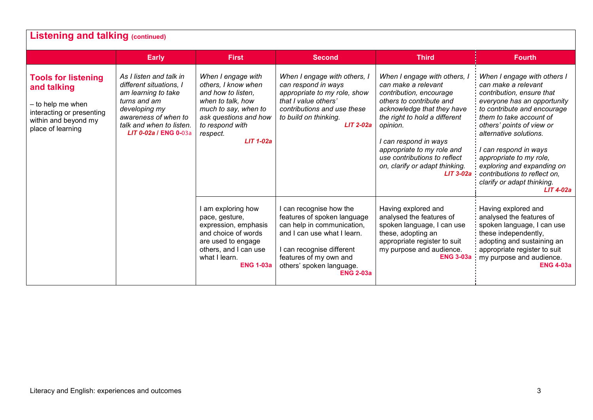| <b>Listening and talking (continued)</b>                                                                                                 |                                                                                                                                                                                                |                                                                                                                                                                                     |                                                                                                                                                                                                                            |                                                                                                                                                                                                                                                                                                                               |                                                                                                                                                                                                                                                                                                                                                                                                     |  |
|------------------------------------------------------------------------------------------------------------------------------------------|------------------------------------------------------------------------------------------------------------------------------------------------------------------------------------------------|-------------------------------------------------------------------------------------------------------------------------------------------------------------------------------------|----------------------------------------------------------------------------------------------------------------------------------------------------------------------------------------------------------------------------|-------------------------------------------------------------------------------------------------------------------------------------------------------------------------------------------------------------------------------------------------------------------------------------------------------------------------------|-----------------------------------------------------------------------------------------------------------------------------------------------------------------------------------------------------------------------------------------------------------------------------------------------------------------------------------------------------------------------------------------------------|--|
|                                                                                                                                          | <b>Early</b>                                                                                                                                                                                   | <b>First</b>                                                                                                                                                                        | <b>Second</b>                                                                                                                                                                                                              | <b>Third</b>                                                                                                                                                                                                                                                                                                                  | <b>Fourth</b>                                                                                                                                                                                                                                                                                                                                                                                       |  |
| <b>Tools for listening</b><br>and talking<br>- to help me when<br>interacting or presenting<br>within and beyond my<br>place of learning | As I listen and talk in<br>different situations, I<br>am learning to take<br>turns and am<br>developing my<br>awareness of when to<br>talk and when to listen.<br><b>LIT 0-02a / ENG 0-03a</b> | When I engage with<br>others, I know when<br>and how to listen.<br>when to talk, how<br>much to say, when to<br>ask questions and how<br>to respond with<br>respect.<br>$LIT$ 1-02a | When I engage with others, I<br>can respond in ways<br>appropriate to my role, show<br>that I value others'<br>contributions and use these<br>to build on thinking.<br><b>LIT 2-02a</b>                                    | When I engage with others, I<br>can make a relevant<br>contribution, encourage<br>others to contribute and<br>acknowledge that they have<br>the right to hold a different<br>opinion.<br>I can respond in ways<br>appropriate to my role and<br>use contributions to reflect<br>on, clarify or adapt thinking.<br>$LIT$ 3-02a | When I engage with others I<br>can make a relevant<br>contribution, ensure that<br>everyone has an opportunity<br>to contribute and encourage<br>them to take account of<br>others' points of view or<br>alternative solutions.<br>I can respond in ways<br>appropriate to my role,<br>exploring and expanding on<br>contributions to reflect on.<br>clarify or adapt thinking.<br><b>LIT 4-02a</b> |  |
|                                                                                                                                          |                                                                                                                                                                                                | I am exploring how<br>pace, gesture,<br>expression, emphasis<br>and choice of words<br>are used to engage<br>others, and I can use<br>what I learn.<br><b>ENG 1-03a</b>             | I can recognise how the<br>features of spoken language<br>can help in communication,<br>and I can use what I learn.<br>I can recognise different<br>features of my own and<br>others' spoken language.<br><b>ENG 2-03a</b> | Having explored and<br>analysed the features of<br>spoken language, I can use<br>these, adopting an<br>appropriate register to suit<br>my purpose and audience.<br><b>ENG 3-03a</b>                                                                                                                                           | Having explored and<br>analysed the features of<br>spoken language, I can use<br>these independently,<br>adopting and sustaining an<br>appropriate register to suit<br>my purpose and audience.<br><b>ENG 4-03a</b>                                                                                                                                                                                 |  |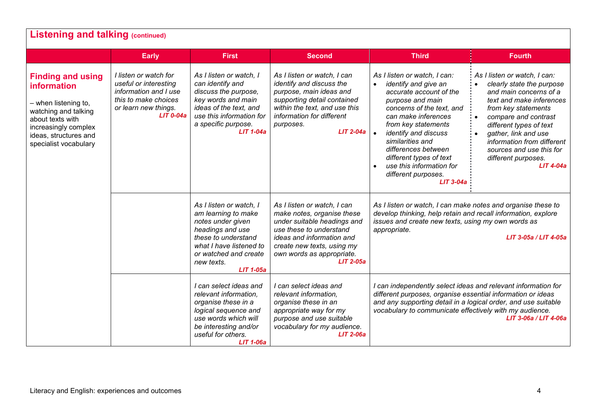| <b>Listening and talking (continued)</b>                                                                                                                                                     |                                                                                                                                        |                                                                                                                                                                                                      |                                                                                                                                                                                                                            |                                                                                                                                                                                                                                                                                                                                                                          |                                                                                                                                                                                                                                                                                                                   |  |  |
|----------------------------------------------------------------------------------------------------------------------------------------------------------------------------------------------|----------------------------------------------------------------------------------------------------------------------------------------|------------------------------------------------------------------------------------------------------------------------------------------------------------------------------------------------------|----------------------------------------------------------------------------------------------------------------------------------------------------------------------------------------------------------------------------|--------------------------------------------------------------------------------------------------------------------------------------------------------------------------------------------------------------------------------------------------------------------------------------------------------------------------------------------------------------------------|-------------------------------------------------------------------------------------------------------------------------------------------------------------------------------------------------------------------------------------------------------------------------------------------------------------------|--|--|
|                                                                                                                                                                                              | <b>Early</b>                                                                                                                           | <b>First</b>                                                                                                                                                                                         | <b>Second</b>                                                                                                                                                                                                              | <b>Third</b>                                                                                                                                                                                                                                                                                                                                                             | <b>Fourth</b>                                                                                                                                                                                                                                                                                                     |  |  |
| <b>Finding and using</b><br><b>information</b><br>- when listening to,<br>watching and talking<br>about texts with<br>increasingly complex<br>ideas, structures and<br>specialist vocabulary | I listen or watch for<br>useful or interesting<br>information and I use<br>this to make choices<br>or learn new things.<br>$LIT$ 0-04a | As I listen or watch, I<br>can identify and<br>discuss the purpose,<br>key words and main<br>ideas of the text, and<br>use this information for<br>a specific purpose.<br><b>LIT 1-04a</b>           | As I listen or watch, I can<br>identify and discuss the<br>purpose, main ideas and<br>supporting detail contained<br>within the text, and use this<br>information for different<br>purposes.<br><b>LIT 2-04a</b>           | As I listen or watch, I can:<br>identify and give an<br>$\bullet$<br>accurate account of the<br>purpose and main<br>concerns of the text, and<br>can make inferences<br>from key statements<br>identify and discuss<br>$\bullet$<br>similarities and<br>differences between<br>different types of text<br>use this information for<br>different purposes.<br>$LIT$ 3-04a | As I listen or watch, I can:<br>clearly state the purpose<br>and main concerns of a<br>text and make inferences<br>from key statements<br>compare and contrast<br>different types of text<br>gather, link and use<br>information from different<br>sources and use this for<br>different purposes.<br>$LIT$ 4-04a |  |  |
|                                                                                                                                                                                              |                                                                                                                                        | As I listen or watch, I<br>am learning to make<br>notes under given<br>headings and use<br>these to understand<br>what I have listened to<br>or watched and create<br>new texts.<br><b>LIT 1-05a</b> | As I listen or watch, I can<br>make notes, organise these<br>under suitable headings and<br>use these to understand<br>ideas and information and<br>create new texts, using my<br>own words as appropriate.<br>$LIT$ 2-05a | As I listen or watch, I can make notes and organise these to<br>develop thinking, help retain and recall information, explore<br>issues and create new texts, using my own words as<br>appropriate.<br>LIT 3-05a / LIT 4-05a                                                                                                                                             |                                                                                                                                                                                                                                                                                                                   |  |  |
|                                                                                                                                                                                              |                                                                                                                                        | I can select ideas and<br>relevant information,<br>organise these in a<br>logical sequence and<br>use words which will<br>be interesting and/or<br>useful for others.<br><b>LIT 1-06a</b>            | I can select ideas and<br>relevant information,<br>organise these in an<br>appropriate way for my<br>purpose and use suitable<br>vocabulary for my audience.<br><b>LIT 2-06a</b>                                           | I can independently select ideas and relevant information for<br>different purposes, organise essential information or ideas<br>and any supporting detail in a logical order, and use suitable<br>vocabulary to communicate effectively with my audience.<br>LIT 3-06a / LIT 4-06a                                                                                       |                                                                                                                                                                                                                                                                                                                   |  |  |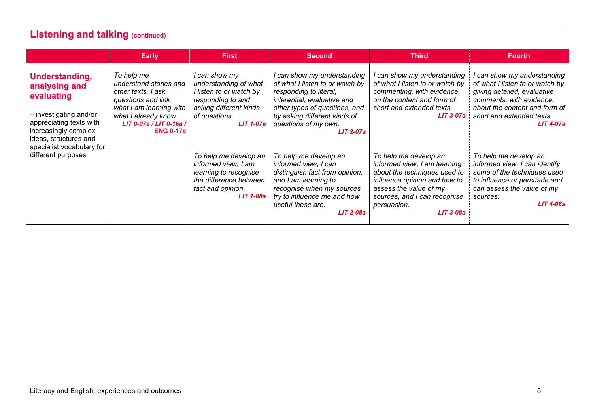| <b>Listening and talking (continued)</b>                                                                                                            |                                                                                                                                                                                    |                                                                                                                                                       |                                                                                                                                                                                                                                      |                                                                                                                                                                                                               |                                                                                                                                                                                                    |  |  |
|-----------------------------------------------------------------------------------------------------------------------------------------------------|------------------------------------------------------------------------------------------------------------------------------------------------------------------------------------|-------------------------------------------------------------------------------------------------------------------------------------------------------|--------------------------------------------------------------------------------------------------------------------------------------------------------------------------------------------------------------------------------------|---------------------------------------------------------------------------------------------------------------------------------------------------------------------------------------------------------------|----------------------------------------------------------------------------------------------------------------------------------------------------------------------------------------------------|--|--|
|                                                                                                                                                     | <b>Early</b>                                                                                                                                                                       | <b>First</b>                                                                                                                                          | <b>Second</b>                                                                                                                                                                                                                        | <b>Third</b>                                                                                                                                                                                                  | <b>Fourth</b>                                                                                                                                                                                      |  |  |
| Understanding,<br>analysing and<br>evaluating<br>- investigating and/or<br>appreciating texts with<br>increasingly complex<br>ideas, structures and | To help me<br>understand stories and<br>other texts, I ask<br>questions and link<br>what I am learning with<br>what I already know.<br>LIT 0-07a / LIT 0-16a /<br><b>ENG 0-17a</b> | I can show my<br>understanding of what<br>I listen to or watch by<br>responding to and<br>asking different kinds<br>of questions.<br><b>LIT 1-07a</b> | I can show my understanding<br>of what I listen to or watch by<br>responding to literal,<br>inferential, evaluative and<br>other types of questions, and<br>by asking different kinds of<br>questions of my own.<br><b>LIT 2-07a</b> | can show my understanding<br>of what I listen to or watch by<br>commenting, with evidence,<br>on the content and form of<br>short and extended texts.<br>$LIT 3-07a$                                          | can show my understanding<br>of what I listen to or watch by<br>giving detailed, evaluative<br>comments, with evidence,<br>about the content and form of<br>short and extended texts.<br>LIT 4-07a |  |  |
| specialist vocabulary for<br>different purposes                                                                                                     |                                                                                                                                                                                    | To help me develop an<br>informed view, I am<br>learning to recognise<br>the difference between<br>fact and opinion.<br><b>LIT 1-08a</b>              | To help me develop an<br>informed view, I can<br>distinguish fact from opinion,<br>and I am learning to<br>recognise when my sources<br>try to influence me and how<br>useful these are.<br><b>LIT 2-08a</b>                         | To help me develop an<br>informed view, I am learning<br>about the techniques used to<br>influence opinion and how to<br>assess the value of my<br>sources, and I can recognise<br>persuasion.<br>$LIT$ 3-08a | To help me develop an<br>informed view, I can identify<br>some of the techniques used<br>to influence or persuade and<br>can assess the value of my<br>sources.<br>LIT 4-08a                       |  |  |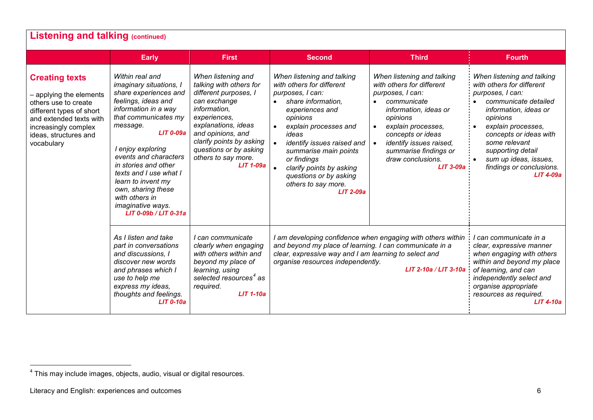<span id="page-6-0"></span>

|                                                                                                                                                                                                                                                                                                                                                                                                                                                                                                                                                                                                                                                                                                                                                                                                   | <b>Early</b>                                                                                                                                                                         | <b>First</b>                                                                                                                                                                                                                                                   | <b>Second</b>                                                                                                                                                                                                                                                                                                                        | <b>Third</b>                                                                                                                                                                                                                                                                    | <b>Fourth</b>                                                                                                                                                                                                                                                                                                        |
|---------------------------------------------------------------------------------------------------------------------------------------------------------------------------------------------------------------------------------------------------------------------------------------------------------------------------------------------------------------------------------------------------------------------------------------------------------------------------------------------------------------------------------------------------------------------------------------------------------------------------------------------------------------------------------------------------------------------------------------------------------------------------------------------------|--------------------------------------------------------------------------------------------------------------------------------------------------------------------------------------|----------------------------------------------------------------------------------------------------------------------------------------------------------------------------------------------------------------------------------------------------------------|--------------------------------------------------------------------------------------------------------------------------------------------------------------------------------------------------------------------------------------------------------------------------------------------------------------------------------------|---------------------------------------------------------------------------------------------------------------------------------------------------------------------------------------------------------------------------------------------------------------------------------|----------------------------------------------------------------------------------------------------------------------------------------------------------------------------------------------------------------------------------------------------------------------------------------------------------------------|
| Within real and<br><b>Creating texts</b><br>imaginary situations, I<br>share experiences and<br>- applying the elements<br>feelings, ideas and<br>others use to create<br>information in a way<br>different types of short<br>that communicates my<br>and extended texts with<br>message.<br>increasingly complex<br><b>LIT 0-09a</b><br>ideas, structures and<br>vocabulary<br>I enjoy exploring<br>events and characters<br>in stories and other<br>texts and I use what I<br>learn to invent my<br>own, sharing these<br>with others in<br>imaginative ways.<br>LIT 0-09b / LIT 0-31a<br>As I listen and take<br>part in conversations<br>and discussions, I<br>discover new words<br>and phrases which I<br>use to help me<br>express my ideas,<br>thoughts and feelings.<br><b>LIT 0-10a</b> |                                                                                                                                                                                      | When listening and<br>talking with others for<br>different purposes, I<br>can exchange<br>information,<br>experiences,<br>explanations, ideas<br>and opinions, and<br>clarify points by asking<br>questions or by asking<br>others to say more.<br>$LIT$ 1-09a | When listening and talking<br>with others for different<br>purposes, I can:<br>share information.<br>experiences and<br>opinions<br>explain processes and<br>ideas<br>identify issues raised and<br>summarise main points<br>or findings<br>clarify points by asking<br>questions or by asking<br>others to say more.<br>$LIT$ 2-09a | When listening and talking<br>with others for different<br>purposes, I can:<br>communicate<br>information, ideas or<br>opinions<br>explain processes,<br>$\bullet$<br>concepts or ideas<br>identify issues raised,<br>summarise findings or<br>draw conclusions.<br>$LIT$ 3-09a | When listening and talking<br>with others for different<br>purposes, I can:<br>communicate detailed<br>information, ideas or<br>opinions<br>explain processes,<br>$\bullet$<br>concepts or ideas with<br>some relevant<br>supporting detail<br>sum up ideas, issues,<br>findings or conclusions.<br><b>LIT 4-09a</b> |
|                                                                                                                                                                                                                                                                                                                                                                                                                                                                                                                                                                                                                                                                                                                                                                                                   | I can communicate<br>clearly when engaging<br>with others within and<br>beyond my place of<br>learning, using<br>selected resources <sup>4</sup> as<br>required.<br><b>LIT 1-10a</b> | I am developing confidence when engaging with others within<br>and beyond my place of learning. I can communicate in a<br>clear, expressive way and I am learning to select and<br>organise resources independently.                                           | LIT 2-10a / LIT 3-10a                                                                                                                                                                                                                                                                                                                | I can communicate in a<br>clear, expressive manner<br>when engaging with others<br>within and beyond my place<br>of learning, and can<br>independently select and<br>organise appropriate<br>resources as required.<br>$LIT$ 4-10a                                              |                                                                                                                                                                                                                                                                                                                      |

 $^4$  This may include images, objects, audio, visual or digital resources.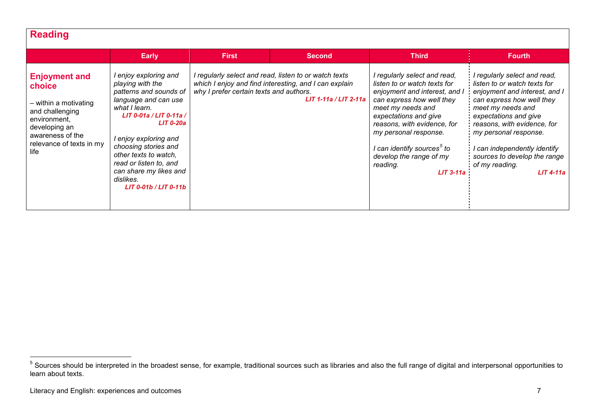## <span id="page-7-0"></span>**Reading**

|                                                                                                                                                                     | <b>Early</b>                                                                                                                                                                                                                                                                                                                    | First                                   | <b>Second</b>                                                                                                                           | <b>Third</b>                                                                                                                                                                                                                                                                                                                     | <b>Fourth</b>                                                                                                                                                                                                                                                                                                                     |
|---------------------------------------------------------------------------------------------------------------------------------------------------------------------|---------------------------------------------------------------------------------------------------------------------------------------------------------------------------------------------------------------------------------------------------------------------------------------------------------------------------------|-----------------------------------------|-----------------------------------------------------------------------------------------------------------------------------------------|----------------------------------------------------------------------------------------------------------------------------------------------------------------------------------------------------------------------------------------------------------------------------------------------------------------------------------|-----------------------------------------------------------------------------------------------------------------------------------------------------------------------------------------------------------------------------------------------------------------------------------------------------------------------------------|
| <b>Enjoyment and</b><br>choice<br>- within a motivating<br>and challenging<br>environment,<br>developing an<br>awareness of the<br>relevance of texts in my<br>life | I enjoy exploring and<br>playing with the<br>patterns and sounds of<br>language and can use<br>what I learn.<br>LIT 0-01a / LIT 0-11a /<br><b>LIT 0-20a</b><br>I enjoy exploring and<br>choosing stories and<br>other texts to watch,<br>read or listen to, and<br>can share my likes and<br>dislikes.<br>LIT 0-01b / LIT 0-11b | why I prefer certain texts and authors. | I regularly select and read, listen to or watch texts<br>which I enjoy and find interesting, and I can explain<br>LIT 1-11a / LIT 2-11a | I regularly select and read,<br>listen to or watch texts for<br>enjoyment and interest, and I<br>can express how well they<br>meet my needs and<br>expectations and give<br>reasons, with evidence, for<br>my personal response.<br>I can identify sources <sup>5</sup> to<br>develop the range of my<br>reading.<br>$LIT$ 3-11a | I regularly select and read,<br>listen to or watch texts for<br>enjoyment and interest, and I<br>can express how well they<br>meet my needs and<br>expectations and give<br>reasons, with evidence, for<br>my personal response.<br>I can independently identify<br>sources to develop the range<br>of my reading.<br>$LIT$ 4-11a |

 $<sup>5</sup>$  Sources should be interpreted in the broadest sense, for example, traditional sources such as libraries and also the full range of digital and interpersonal opportunities to</sup> learn about texts.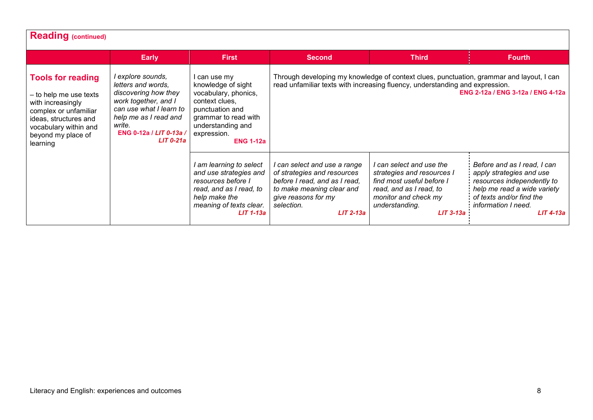| <b>Reading (continued)</b>                                                                                                                                                           |                                                                                                                                                                                                 |                                                                                                                                                                                 |                                                                                                                                                                                                               |                                                                                                                                                                         |                                                                                                                                                                                               |  |  |
|--------------------------------------------------------------------------------------------------------------------------------------------------------------------------------------|-------------------------------------------------------------------------------------------------------------------------------------------------------------------------------------------------|---------------------------------------------------------------------------------------------------------------------------------------------------------------------------------|---------------------------------------------------------------------------------------------------------------------------------------------------------------------------------------------------------------|-------------------------------------------------------------------------------------------------------------------------------------------------------------------------|-----------------------------------------------------------------------------------------------------------------------------------------------------------------------------------------------|--|--|
|                                                                                                                                                                                      | Early                                                                                                                                                                                           | <b>First</b>                                                                                                                                                                    | <b>Second</b>                                                                                                                                                                                                 | <b>Third</b>                                                                                                                                                            | <b>Fourth</b>                                                                                                                                                                                 |  |  |
| <b>Tools for reading</b><br>- to help me use texts<br>with increasingly<br>complex or unfamiliar<br>ideas, structures and<br>vocabulary within and<br>beyond my place of<br>learning | l explore sounds,<br>letters and words,<br>discovering how they<br>work together, and I<br>can use what I learn to<br>help me as I read and<br>write.<br>ENG 0-12a / LIT 0-13a /<br>$LIT$ 0-21a | l can use my<br>knowledge of sight<br>vocabulary, phonics,<br>context clues.<br>punctuation and<br>grammar to read with<br>understanding and<br>expression.<br><b>ENG 1-12a</b> | Through developing my knowledge of context clues, punctuation, grammar and layout, I can<br>read unfamiliar texts with increasing fluency, understanding and expression.<br>ENG 2-12a / ENG 3-12a / ENG 4-12a |                                                                                                                                                                         |                                                                                                                                                                                               |  |  |
|                                                                                                                                                                                      |                                                                                                                                                                                                 | I am learning to select<br>and use strategies and<br>resources before I<br>read, and as I read, to<br>help make the<br>meaning of texts clear.<br>$LIT$ 1-13a                   | I can select and use a range<br>of strategies and resources<br>before I read, and as I read,<br>to make meaning clear and<br>give reasons for my<br>selection.<br>$LIT$ 2-13a                                 | I can select and use the<br>strategies and resources I<br>find most useful before I<br>read, and as I read, to<br>monitor and check my<br>understanding.<br>$LIT$ 3-13a | Before and as I read, I can<br>apply strategies and use<br>resources independently to<br>help me read a wide variety<br>of texts and/or find the<br><i>information I need.</i><br>$LIT$ 4-13a |  |  |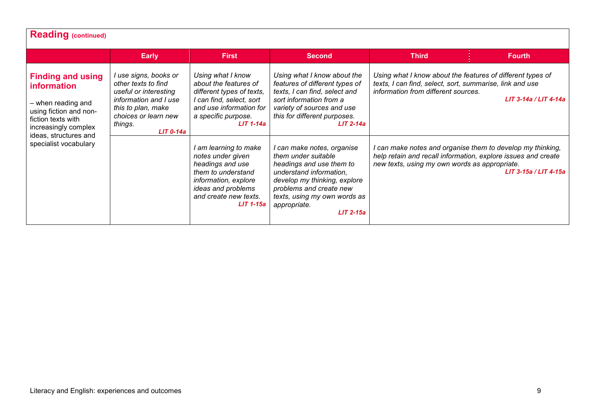| <b>Reading (continued)</b>                                                                                                                                            |                                                                                                                                                                        |                                                                                                                                                                                 |                                                                                                                                                                                                                                    |                                                                                                                                                                              |                       |  |  |  |
|-----------------------------------------------------------------------------------------------------------------------------------------------------------------------|------------------------------------------------------------------------------------------------------------------------------------------------------------------------|---------------------------------------------------------------------------------------------------------------------------------------------------------------------------------|------------------------------------------------------------------------------------------------------------------------------------------------------------------------------------------------------------------------------------|------------------------------------------------------------------------------------------------------------------------------------------------------------------------------|-----------------------|--|--|--|
|                                                                                                                                                                       | <b>Early</b>                                                                                                                                                           | <b>First</b>                                                                                                                                                                    | <b>Second</b>                                                                                                                                                                                                                      | <b>Third</b>                                                                                                                                                                 | <b>Fourth</b>         |  |  |  |
| <b>Finding and using</b><br><b>information</b><br>- when reading and<br>using fiction and non-<br>fiction texts with<br>increasingly complex<br>ideas, structures and | I use signs, books or<br>other texts to find<br>useful or interesting<br>information and I use<br>this to plan, make<br>choices or learn new<br>things.<br>$LIT$ 0-14a | Using what I know<br>about the features of<br>different types of texts,<br>I can find, select, sort<br>and use information for<br>a specific purpose.<br>$LIT 1-14a$            | Using what I know about the<br>features of different types of<br>texts, I can find, select and<br>sort information from a<br>variety of sources and use<br>this for different purposes.<br>$LIT$ 2-14a                             | Using what I know about the features of different types of<br>texts, I can find, select, sort, summarise, link and use<br>information from different sources.                | LIT 3-14a / LIT 4-14a |  |  |  |
| specialist vocabulary                                                                                                                                                 |                                                                                                                                                                        | I am learning to make<br>notes under given<br>headings and use<br>them to understand<br>information, explore<br>ideas and problems<br>and create new texts.<br><b>LIT 1-15a</b> | I can make notes, organise<br>them under suitable<br>headings and use them to<br>understand information.<br>develop my thinking, explore<br>problems and create new<br>texts, using my own words as<br>appropriate.<br>$LIT$ 2-15a | I can make notes and organise them to develop my thinking,<br>help retain and recall information, explore issues and create<br>new texts, using my own words as appropriate. | LIT 3-15a / LIT 4-15a |  |  |  |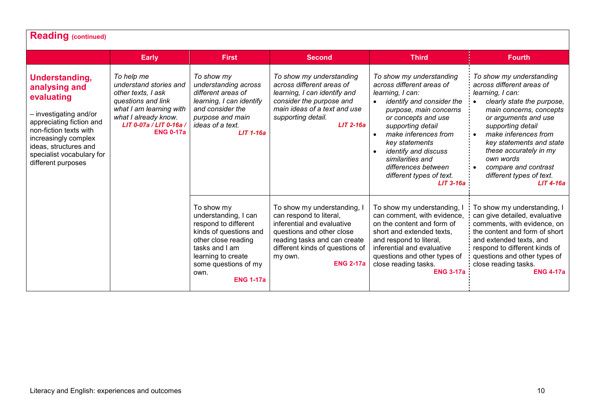| <b>Reading (continued)</b>                                                                                                                                                                                                        |                                                                                                                                                                                    |                                                                                                                                                                                                         |                                                                                                                                                                                                                     |                                                                                                                                                                                                                                                                                                                                                                |                                                                                                                                                                                                                                                                                                                                               |  |  |
|-----------------------------------------------------------------------------------------------------------------------------------------------------------------------------------------------------------------------------------|------------------------------------------------------------------------------------------------------------------------------------------------------------------------------------|---------------------------------------------------------------------------------------------------------------------------------------------------------------------------------------------------------|---------------------------------------------------------------------------------------------------------------------------------------------------------------------------------------------------------------------|----------------------------------------------------------------------------------------------------------------------------------------------------------------------------------------------------------------------------------------------------------------------------------------------------------------------------------------------------------------|-----------------------------------------------------------------------------------------------------------------------------------------------------------------------------------------------------------------------------------------------------------------------------------------------------------------------------------------------|--|--|
|                                                                                                                                                                                                                                   | <b>Early</b>                                                                                                                                                                       | <b>First</b>                                                                                                                                                                                            | <b>Second</b>                                                                                                                                                                                                       | <b>Third</b>                                                                                                                                                                                                                                                                                                                                                   | <b>Fourth</b>                                                                                                                                                                                                                                                                                                                                 |  |  |
| Understanding,<br>analysing and<br>evaluating<br>- investigating and/or<br>appreciating fiction and<br>non-fiction texts with<br>increasingly complex<br>ideas, structures and<br>specialist vocabulary for<br>different purposes | To help me<br>understand stories and<br>other texts, I ask<br>questions and link<br>what I am learning with<br>what I already know.<br>LIT 0-07a / LIT 0-16a /<br><b>ENG 0-17a</b> | To show my<br>understanding across<br>different areas of<br>learning, I can identify<br>and consider the<br>purpose and main<br>ideas of a text.<br>$LIT$ 1-16a                                         | To show my understanding<br>across different areas of<br>learning, I can identify and<br>consider the purpose and<br>main ideas of a text and use<br>supporting detail.<br>$LIT$ 2-16a                              | To show my understanding<br>across different areas of<br>learning, I can:<br>identify and consider the<br>$\bullet$<br>purpose, main concerns<br>or concepts and use<br>supporting detail<br>make inferences from<br>$\bullet$<br>key statements<br>identify and discuss<br>similarities and<br>differences between<br>different types of text.<br>$LIT$ 3-16a | To show my understanding<br>across different areas of<br>learning, I can:<br>clearly state the purpose,<br>main concerns, concepts<br>or arguments and use<br>supporting detail<br>make inferences from<br>key statements and state<br>these accurately in my<br>own words<br>compare and contrast<br>different types of text.<br>$LIT$ 4-16a |  |  |
|                                                                                                                                                                                                                                   |                                                                                                                                                                                    | To show my<br>understanding, I can<br>respond to different<br>kinds of questions and<br>other close reading<br>tasks and I am<br>learning to create<br>some questions of my<br>own.<br><b>ENG 1-17a</b> | To show my understanding, I<br>can respond to literal,<br>inferential and evaluative<br>questions and other close<br>reading tasks and can create<br>different kinds of questions of<br>my own.<br><b>ENG 2-17a</b> | To show my understanding,<br>can comment, with evidence,<br>on the content and form of<br>short and extended texts,<br>and respond to literal,<br>inferential and evaluative<br>questions and other types of<br>close reading tasks.<br><b>ENG 3-17a</b>                                                                                                       | To show my understanding, I<br>can give detailed, evaluative<br>comments, with evidence, on<br>the content and form of short<br>and extended texts, and<br>respond to different kinds of<br>questions and other types of<br>close reading tasks.<br><b>ENG 4-17a</b>                                                                          |  |  |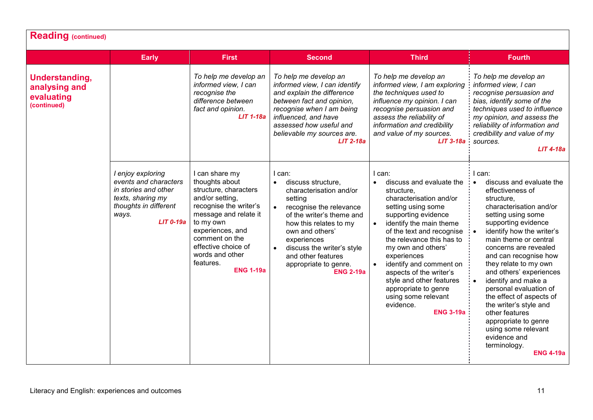|                                                              | <b>Early</b>                                                                                                                             | <b>First</b>                                                                                                                                                                                                                                                  | <b>Second</b>                                                                                                                                                                                                                                                                                                                  | <b>Third</b>                                                                                                                                                                                                                                                                                                                                                                                                                                                | <b>Fourth</b>                                                                                                                                                                                                                                                                                                                                                                                                                                                                                                                                                               |
|--------------------------------------------------------------|------------------------------------------------------------------------------------------------------------------------------------------|---------------------------------------------------------------------------------------------------------------------------------------------------------------------------------------------------------------------------------------------------------------|--------------------------------------------------------------------------------------------------------------------------------------------------------------------------------------------------------------------------------------------------------------------------------------------------------------------------------|-------------------------------------------------------------------------------------------------------------------------------------------------------------------------------------------------------------------------------------------------------------------------------------------------------------------------------------------------------------------------------------------------------------------------------------------------------------|-----------------------------------------------------------------------------------------------------------------------------------------------------------------------------------------------------------------------------------------------------------------------------------------------------------------------------------------------------------------------------------------------------------------------------------------------------------------------------------------------------------------------------------------------------------------------------|
| Understanding,<br>analysing and<br>evaluating<br>(continued) |                                                                                                                                          | To help me develop an<br>informed view, I can<br>recognise the<br>difference between<br>fact and opinion.<br><b>LIT 1-18a</b>                                                                                                                                 | To help me develop an<br>informed view, I can identify<br>and explain the difference<br>between fact and opinion,<br>recognise when I am being<br>influenced, and have<br>assessed how useful and<br>believable my sources are.<br>$LIT$ 2-18a                                                                                 | To help me develop an<br>informed view, I am exploring<br>the techniques used to<br>influence my opinion. I can<br>recognise persuasion and<br>assess the reliability of<br>information and credibility<br>and value of my sources.<br>$LIT$ 3-18a                                                                                                                                                                                                          | To help me develop an<br>informed view, I can<br>recognise persuasion and<br>bias, identify some of the<br>techniques used to influence<br>my opinion, and assess the<br>reliability of information and<br>credibility and value of my<br>sources.<br>$LIT$ 4-18a                                                                                                                                                                                                                                                                                                           |
|                                                              | I enjoy exploring<br>events and characters<br>in stories and other<br>texts, sharing my<br>thoughts in different<br>ways.<br>$LIT$ 0-19a | I can share my<br>thoughts about<br>structure, characters<br>and/or setting,<br>recognise the writer's<br>message and relate it<br>to my own<br>experiences, and<br>comment on the<br>effective choice of<br>words and other<br>features.<br><b>ENG 1-19a</b> | I can:<br>discuss structure,<br>$\bullet$<br>characterisation and/or<br>setting<br>$\bullet$<br>recognise the relevance<br>of the writer's theme and<br>how this relates to my<br>own and others'<br>experiences<br>discuss the writer's style<br>$\bullet$<br>and other features<br>appropriate to genre.<br><b>ENG 2-19a</b> | l can:<br>discuss and evaluate the<br>$\bullet$<br>structure,<br>characterisation and/or<br>setting using some<br>supporting evidence<br>identify the main theme<br>$\bullet$<br>of the text and recognise<br>the relevance this has to<br>my own and others'<br>experiences<br>identify and comment on<br>$\bullet$<br>aspects of the writer's<br>style and other features<br>appropriate to genre<br>using some relevant<br>evidence.<br><b>ENG 3-19a</b> | I can:<br>discuss and evaluate the<br>$\bullet$<br>effectiveness of<br>structure,<br>characterisation and/or<br>setting using some<br>supporting evidence<br>identify how the writer's<br>$\bullet$<br>main theme or central<br>concerns are revealed<br>and can recognise how<br>they relate to my own<br>and others' experiences<br>identify and make a<br>$\bullet$<br>personal evaluation of<br>the effect of aspects of<br>the writer's style and<br>other features<br>appropriate to genre<br>using some relevant<br>evidence and<br>terminology.<br><b>ENG 4-19a</b> |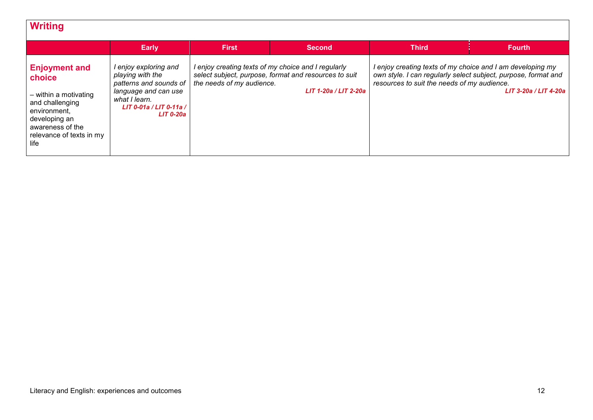| <b>Writing</b>                                                                                                                                                      |                                                                                                                                                             |                           |                                                                                                                                       |                                                                                                                                                                             |                       |
|---------------------------------------------------------------------------------------------------------------------------------------------------------------------|-------------------------------------------------------------------------------------------------------------------------------------------------------------|---------------------------|---------------------------------------------------------------------------------------------------------------------------------------|-----------------------------------------------------------------------------------------------------------------------------------------------------------------------------|-----------------------|
|                                                                                                                                                                     | <b>Early</b>                                                                                                                                                | <b>First</b>              | <b>Second</b>                                                                                                                         | <b>Third</b>                                                                                                                                                                | <b>Fourth</b>         |
| <b>Enjoyment and</b><br>choice<br>- within a motivating<br>and challenging<br>environment.<br>developing an<br>awareness of the<br>relevance of texts in my<br>life | I enjoy exploring and<br>playing with the<br>patterns and sounds of<br>language and can use<br>what I learn.<br>LIT 0-01a / LIT 0-11a /<br><b>LIT 0-20a</b> | the needs of my audience. | I enjoy creating texts of my choice and I regularly<br>select subject, purpose, format and resources to suit<br>LIT 1-20a / LIT 2-20a | I enjoy creating texts of my choice and I am developing my<br>own style. I can regularly select subject, purpose, format and<br>resources to suit the needs of my audience. | LIT 3-20a / LIT 4-20a |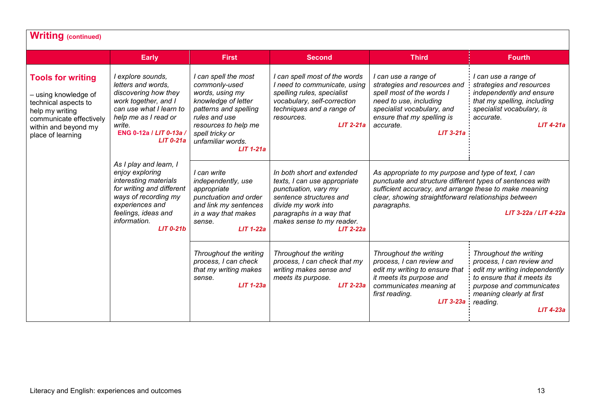| <b>Writing (continued)</b>                                                                                                                                          |                                                                                                                                                                                                     |                                                                                                                                                                                                          |                                                                                                                                                                                                              |                                                                                                                                                                                                                                                    |                                                                                                                                                                                                             |
|---------------------------------------------------------------------------------------------------------------------------------------------------------------------|-----------------------------------------------------------------------------------------------------------------------------------------------------------------------------------------------------|----------------------------------------------------------------------------------------------------------------------------------------------------------------------------------------------------------|--------------------------------------------------------------------------------------------------------------------------------------------------------------------------------------------------------------|----------------------------------------------------------------------------------------------------------------------------------------------------------------------------------------------------------------------------------------------------|-------------------------------------------------------------------------------------------------------------------------------------------------------------------------------------------------------------|
|                                                                                                                                                                     | <b>Early</b>                                                                                                                                                                                        | <b>First</b>                                                                                                                                                                                             | <b>Second</b>                                                                                                                                                                                                | <b>Third</b>                                                                                                                                                                                                                                       | <b>Fourth</b>                                                                                                                                                                                               |
| <b>Tools for writing</b><br>- using knowledge of<br>technical aspects to<br>help my writing<br>communicate effectively<br>within and beyond my<br>place of learning | I explore sounds,<br>letters and words.<br>discovering how they<br>work together, and I<br>can use what I learn to<br>help me as I read or<br>write.<br>ENG 0-12a / LIT 0-13a /<br>$LIT$ 0-21a      | I can spell the most<br>commonly-used<br>words, using my<br>knowledge of letter<br>patterns and spelling<br>rules and use<br>resources to help me<br>spell tricky or<br>unfamiliar words.<br>$LIT$ 1-21a | I can spell most of the words<br>I need to communicate, using<br>spelling rules, specialist<br>vocabulary, self-correction<br>techniques and a range of<br>resources.<br>$LIT 2-21a$                         | I can use a range of<br>strategies and resources and<br>spell most of the words I<br>need to use, including<br>specialist vocabulary, and<br>ensure that my spelling is<br>accurate.<br>$LIT$ 3-21a                                                | I can use a range of<br>strategies and resources<br>independently and ensure<br>that my spelling, including<br>specialist vocabulary, is<br>accurate.<br>$LIT$ 4-21a                                        |
|                                                                                                                                                                     | As I play and learn, I<br>enjoy exploring<br>interesting materials<br>for writing and different<br>ways of recording my<br>experiences and<br>feelings, ideas and<br>information.<br>$LIT$ 0-21 $b$ | I can write<br>independently, use<br>appropriate<br>punctuation and order<br>and link my sentences<br>in a way that makes<br>sense.<br>$LIT$ 1-22a                                                       | In both short and extended<br>texts, I can use appropriate<br>punctuation, vary my<br>sentence structures and<br>divide my work into<br>paragraphs in a way that<br>makes sense to my reader.<br>$LIT$ 2-22a | As appropriate to my purpose and type of text, I can<br>punctuate and structure different types of sentences with<br>sufficient accuracy, and arrange these to make meaning<br>clear, showing straightforward relationships between<br>paragraphs. | LIT 3-22a / LIT 4-22a                                                                                                                                                                                       |
|                                                                                                                                                                     |                                                                                                                                                                                                     | Throughout the writing<br>process, I can check<br>that my writing makes<br>sense.<br>$LIT$ 1-23a                                                                                                         | Throughout the writing<br>process, I can check that my<br>writing makes sense and<br>meets its purpose.<br>$LIT$ 2-23a                                                                                       | Throughout the writing<br>process, I can review and<br>edit my writing to ensure that<br>it meets its purpose and<br>communicates meaning at<br>first reading.<br>$LIT$ 3-23a                                                                      | Throughout the writing<br>process, I can review and<br>edit my writing independently<br>to ensure that it meets its<br>purpose and communicates<br>meaning clearly at first<br>reading.<br><b>LIT 4-23a</b> |

## Literacy and English: experiences and outcomes 13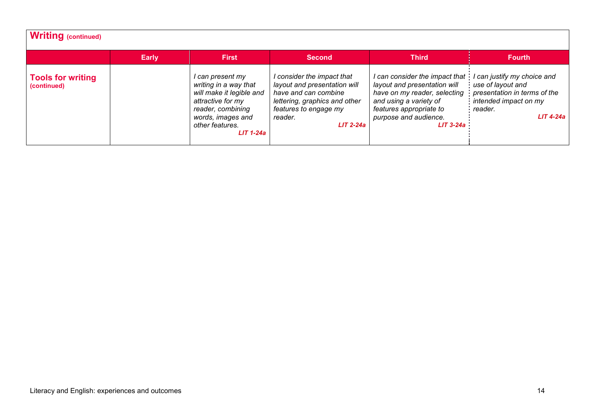| Writing (continued)                     |              |                                                                                                                                                                        |                                                                                                                                                                        |                                                                                                                                                                                             |                                                                                                                                     |
|-----------------------------------------|--------------|------------------------------------------------------------------------------------------------------------------------------------------------------------------------|------------------------------------------------------------------------------------------------------------------------------------------------------------------------|---------------------------------------------------------------------------------------------------------------------------------------------------------------------------------------------|-------------------------------------------------------------------------------------------------------------------------------------|
|                                         | <b>Early</b> | First                                                                                                                                                                  | <b>Second</b>                                                                                                                                                          | <b>Third</b>                                                                                                                                                                                | <b>Fourth</b>                                                                                                                       |
| <b>Tools for writing</b><br>(continued) |              | l can present my<br>writing in a way that<br>will make it legible and<br>attractive for my<br>reader, combining<br>words, images and<br>other features.<br>$LIT$ 1-24a | I consider the impact that<br>layout and presentation will<br>have and can combine<br>lettering, graphics and other<br>features to engage my<br>reader.<br>$LIT$ 2-24a | I can consider the impact that<br>layout and presentation will<br>have on my reader, selecting<br>and using a variety of<br>features appropriate to<br>purpose and audience.<br>$LIT$ 3-24a | I can justify my choice and<br>use of layout and<br>presentation in terms of the<br>intended impact on my<br>reader.<br>$LIT$ 4-24a |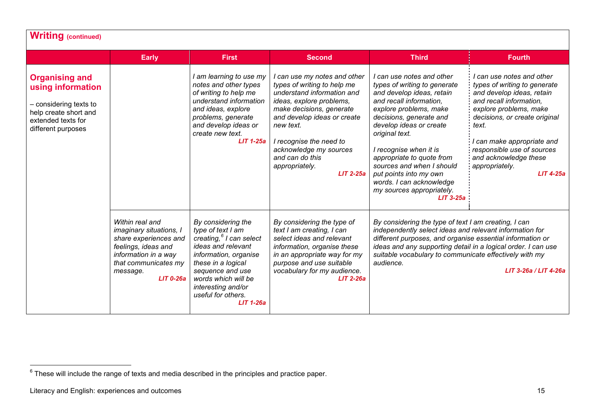<span id="page-15-0"></span>

| <b>Writing (continued)</b>                                                                                                                |                                                                                                                                                                       |                                                                                                                                                                                                                                                                |                                                                                                                                                                                                                                                                                                             |                                                                                                                                                                                                                                                                                                                                                                                                           |                                                                                                                                                                                                                                                                                                           |
|-------------------------------------------------------------------------------------------------------------------------------------------|-----------------------------------------------------------------------------------------------------------------------------------------------------------------------|----------------------------------------------------------------------------------------------------------------------------------------------------------------------------------------------------------------------------------------------------------------|-------------------------------------------------------------------------------------------------------------------------------------------------------------------------------------------------------------------------------------------------------------------------------------------------------------|-----------------------------------------------------------------------------------------------------------------------------------------------------------------------------------------------------------------------------------------------------------------------------------------------------------------------------------------------------------------------------------------------------------|-----------------------------------------------------------------------------------------------------------------------------------------------------------------------------------------------------------------------------------------------------------------------------------------------------------|
|                                                                                                                                           | <b>Early</b>                                                                                                                                                          | <b>First</b>                                                                                                                                                                                                                                                   | <b>Second</b>                                                                                                                                                                                                                                                                                               | <b>Third</b>                                                                                                                                                                                                                                                                                                                                                                                              | <b>Fourth</b>                                                                                                                                                                                                                                                                                             |
| <b>Organising and</b><br>using information<br>- considering texts to<br>help create short and<br>extended texts for<br>different purposes |                                                                                                                                                                       | I am learning to use my<br>notes and other types<br>of writing to help me<br>understand information<br>and ideas, explore<br>problems, generate<br>and develop ideas or<br>create new text.<br>$LIT$ 1-25a                                                     | I can use my notes and other<br>types of writing to help me<br>understand information and<br>ideas, explore problems,<br>make decisions, generate<br>and develop ideas or create<br>new text.<br>I recognise the need to<br>acknowledge my sources<br>and can do this<br>appropriately.<br><b>LIT 2-25a</b> | I can use notes and other<br>types of writing to generate<br>and develop ideas, retain<br>and recall information,<br>explore problems, make<br>decisions, generate and<br>develop ideas or create<br>original text.<br>I recognise when it is<br>appropriate to quote from<br>sources and when I should<br>put points into my own<br>words. I can acknowledge<br>my sources appropriately.<br>$LIT$ 3-25a | I can use notes and other<br>types of writing to generate<br>and develop ideas, retain<br>and recall information,<br>explore problems, make<br>decisions, or create original<br>text.<br>can make appropriate and<br>responsible use of sources<br>and acknowledge these<br>appropriately.<br>$LIT$ 4-25a |
|                                                                                                                                           | Within real and<br>imaginary situations, I<br>share experiences and<br>feelings, ideas and<br>information in a way<br>that communicates my<br>message.<br>$LIT$ 0-26a | By considering the<br>type of text I am<br>creating, <sup>6</sup> I can select<br>ideas and relevant<br>information, organise<br>these in a logical<br>sequence and use<br>words which will be<br>interesting and/or<br>useful for others.<br><b>LIT 1-26a</b> | By considering the type of<br>text I am creating, I can<br>select ideas and relevant<br>information, organise these<br>in an appropriate way for my<br>purpose and use suitable<br>vocabulary for my audience.<br>$LIT$ 2-26a                                                                               | By considering the type of text I am creating, I can<br>independently select ideas and relevant information for<br>different purposes, and organise essential information or<br>ideas and any supporting detail in a logical order. I can use<br>suitable vocabulary to communicate effectively with my<br>audience.<br>LIT 3-26a / LIT 4-26a                                                             |                                                                                                                                                                                                                                                                                                           |

 $^6$  These will include the range of texts and media described in the principles and practice paper.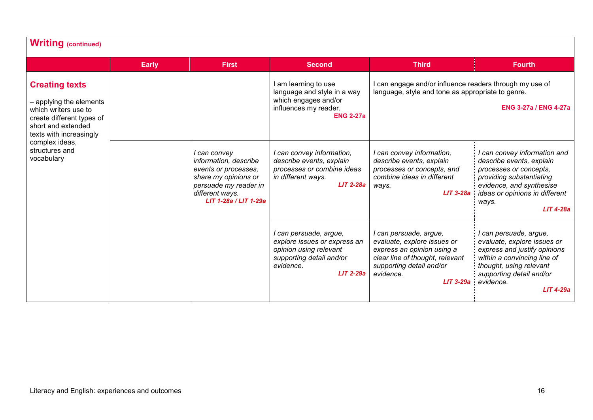| <b>Writing (continued)</b>                                                                                                                                                                               |              |                                                                                                                                                            |                                                                                                                                                                                |                                                                                                                                                                                                              |                                                                                                                                                                                                         |
|----------------------------------------------------------------------------------------------------------------------------------------------------------------------------------------------------------|--------------|------------------------------------------------------------------------------------------------------------------------------------------------------------|--------------------------------------------------------------------------------------------------------------------------------------------------------------------------------|--------------------------------------------------------------------------------------------------------------------------------------------------------------------------------------------------------------|---------------------------------------------------------------------------------------------------------------------------------------------------------------------------------------------------------|
|                                                                                                                                                                                                          | <b>Early</b> | <b>First</b>                                                                                                                                               | <b>Second</b>                                                                                                                                                                  | <b>Third</b>                                                                                                                                                                                                 | <b>Fourth</b>                                                                                                                                                                                           |
| <b>Creating texts</b><br>- applying the elements<br>which writers use to<br>create different types of<br>short and extended<br>texts with increasingly<br>complex ideas,<br>structures and<br>vocabulary |              |                                                                                                                                                            | I am learning to use<br>language and style in a way<br>which engages and/or<br>influences my reader.<br><b>ENG 2-27a</b>                                                       | I can engage and/or influence readers through my use of<br>language, style and tone as appropriate to genre.<br><b>ENG 3-27a / ENG 4-27a</b>                                                                 |                                                                                                                                                                                                         |
|                                                                                                                                                                                                          |              | I can convey<br>information, describe<br>events or processes,<br>share my opinions or<br>persuade my reader in<br>different ways.<br>LIT 1-28a / LIT 1-29a | I can convey information,<br>describe events, explain<br>processes or combine ideas<br>in different ways.<br>$LIT$ 2-28a                                                       | I can convey information,<br>describe events, explain<br>processes or concepts, and<br>combine ideas in different<br>ways.<br>$LIT 3-28a$                                                                    | can convey information and<br>describe events, explain<br>processes or concepts,<br>providing substantiating<br>evidence, and synthesise<br>ideas or opinions in different<br>ways.<br><b>LIT 4-28a</b> |
|                                                                                                                                                                                                          |              | I can persuade, argue,<br>explore issues or express an<br>opinion using relevant<br>supporting detail and/or<br>evidence.<br>$LIT$ 2-29a                   | I can persuade, argue,<br>evaluate, explore issues or<br>express an opinion using a<br>clear line of thought, relevant<br>supporting detail and/or<br>evidence.<br>$LIT$ 3-29a | I can persuade, argue,<br>evaluate, explore issues or<br>express and justify opinions<br>within a convincing line of<br>thought, using relevant<br>supporting detail and/or<br>evidence.<br><b>LIT 4-29a</b> |                                                                                                                                                                                                         |